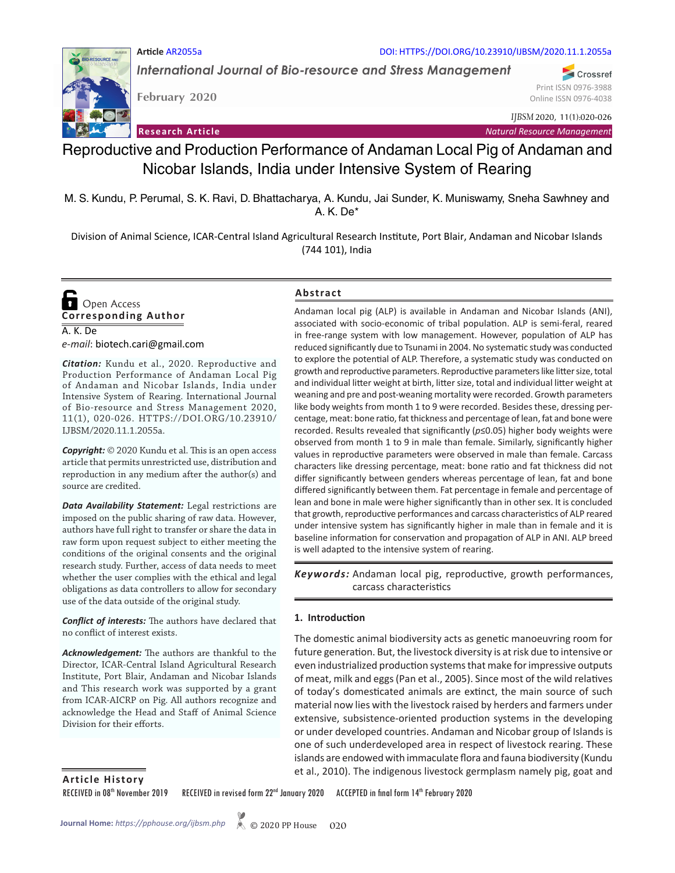#### DOI: HTTPS://DOI.ORG/10.23910/IJBSM/2020.11.1.2055a

*International Journal of Bio-resource and Stress Management*

**February 2020**

**Article** AR2055a

Online ISSN 0976-4038 *IJBSM* 2020, 11(1):020-026

Print ISSN 0976-3988

Crossref

**Research Article** *Natural Resource Management*

# Reproductive and Production Performance of Andaman Local Pig of Andaman and Nicobar Islands, India under Intensive System of Rearing

M. S. Kundu, P. Perumal, S. K. Ravi, D. Bhattacharya, A. Kundu, Jai Sunder, K. Muniswamy, Sneha Sawhney and A. K. De\*

Division of Animal Science, ICAR-Central Island Agricultural Research Institute, Port Blair, Andaman and Nicobar Islands (744 101), India

**Corresponding Author**  Open Access

A. K. De *e-mail*: biotech.cari@gmail.com

*Citation:* Kundu et al., 2020. Reproductive and Production Performance of Andaman Local Pig of Andaman and Nicobar Islands, India under Intensive System of Rearing. International Journal of Bio-resource and Stress Management 2020, 11(1), 020-026. HTTPS://DOI.ORG/10.23910/ IJBSM/2020.11.1.2055a.

*Copyright:* © 2020 Kundu et al. This is an open access article that permits unrestricted use, distribution and reproduction in any medium after the author(s) and source are credited.

*Data Availability Statement:* Legal restrictions are imposed on the public sharing of raw data. However, authors have full right to transfer or share the data in raw form upon request subject to either meeting the conditions of the original consents and the original research study. Further, access of data needs to meet whether the user complies with the ethical and legal obligations as data controllers to allow for secondary use of the data outside of the original study.

*Conflict of interests:* The authors have declared that no conflict of interest exists.

*Acknowledgement:* The authors are thankful to the Director, ICAR-Central Island Agricultural Research Institute, Port Blair, Andaman and Nicobar Islands and This research work was supported by a grant from ICAR-AICRP on Pig. All authors recognize and acknowledge the Head and Staff of Animal Science Division for their efforts.

## **Abstract**

Andaman local pig (ALP) is available in Andaman and Nicobar Islands (ANI), associated with socio-economic of tribal population. ALP is semi-feral, reared in free-range system with low management. However, population of ALP has reduced significantly due to Tsunami in 2004. No systematic study was conducted to explore the potential of ALP. Therefore, a systematic study was conducted on growth and reproductive parameters. Reproductive parameters like litter size, total and individual litter weight at birth, litter size, total and individual litter weight at weaning and pre and post-weaning mortality were recorded. Growth parameters like body weights from month 1 to 9 were recorded. Besides these, dressing percentage, meat: bone ratio, fat thickness and percentage of lean, fat and bone were recorded. Results revealed that significantly (*p*≤0.05) higher body weights were observed from month 1 to 9 in male than female. Similarly, significantly higher values in reproductive parameters were observed in male than female. Carcass characters like dressing percentage, meat: bone ratio and fat thickness did not differ significantly between genders whereas percentage of lean, fat and bone differed significantly between them. Fat percentage in female and percentage of lean and bone in male were higher significantly than in other sex. It is concluded that growth, reproductive performances and carcass characteristics of ALP reared under intensive system has significantly higher in male than in female and it is baseline information for conservation and propagation of ALP in ANI. ALP breed is well adapted to the intensive system of rearing.

Keywords: Andaman local pig, reproductive, growth performances, carcass characteristics

## **1. Introduction**

The domestic animal biodiversity acts as genetic manoeuvring room for future generation. But, the livestock diversity is at risk due to intensive or even industrialized production systems that make for impressive outputs of meat, milk and eggs (Pan et al., 2005). Since most of the wild relatives of today's domesticated animals are extinct, the main source of such material now lies with the livestock raised by herders and farmers under extensive, subsistence-oriented production systems in the developing or under developed countries. Andaman and Nicobar group of Islands is one of such underdeveloped area in respect of livestock rearing. These islands are endowed with immaculate flora and fauna biodiversity (Kundu et al., 2010). The indigenous livestock germplasm namely pig, goat and **Article History**

RECEIVED in 08<sup>th</sup> November 2019 RECEIVED in revised form 22<sup>nd</sup> January 2020 ACCEPTED in final form 14<sup>th</sup> February 2020

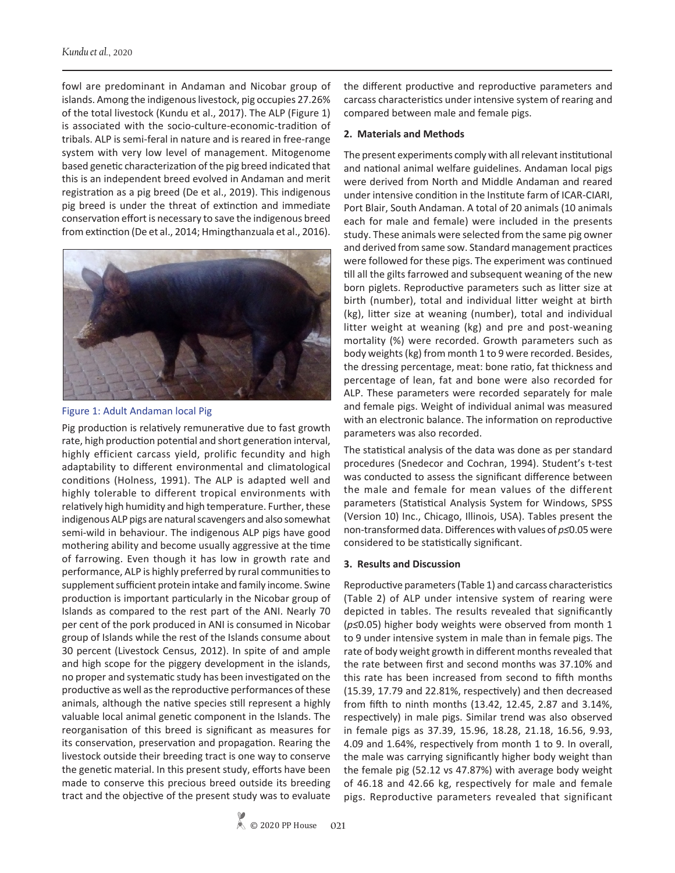fowl are predominant in Andaman and Nicobar group of islands. Among the indigenous livestock, pig occupies 27.26% of the total livestock (Kundu et al., 2017). The ALP (Figure 1) is associated with the socio-culture-economic-tradition of tribals. ALP is semi-feral in nature and is reared in free-range system with very low level of management. Mitogenome based genetic characterization of the pig breed indicated that this is an independent breed evolved in Andaman and merit registration as a pig breed (De et al., 2019). This indigenous pig breed is under the threat of extinction and immediate conservation effort is necessary to save the indigenous breed from extinction (De et al., 2014; Hmingthanzuala et al., 2016).





Pig production is relatively remunerative due to fast growth rate, high production potential and short generation interval, highly efficient carcass yield, prolific fecundity and high adaptability to different environmental and climatological conditions (Holness, 1991). The ALP is adapted well and highly tolerable to different tropical environments with relatively high humidity and high temperature. Further, these indigenous ALP pigs are natural scavengers and also somewhat semi-wild in behaviour. The indigenous ALP pigs have good mothering ability and become usually aggressive at the time of farrowing. Even though it has low in growth rate and performance, ALP is highly preferred by rural communities to supplement sufficient protein intake and family income. Swine production is important particularly in the Nicobar group of Islands as compared to the rest part of the ANI. Nearly 70 per cent of the pork produced in ANI is consumed in Nicobar group of Islands while the rest of the Islands consume about 30 percent (Livestock Census, 2012). In spite of and ample and high scope for the piggery development in the islands, no proper and systematic study has been investigated on the productive as well as the reproductive performances of these animals, although the native species still represent a highly valuable local animal genetic component in the Islands. The reorganisation of this breed is significant as measures for its conservation, preservation and propagation. Rearing the livestock outside their breeding tract is one way to conserve the genetic material. In this present study, efforts have been made to conserve this precious breed outside its breeding tract and the objective of the present study was to evaluate

the different productive and reproductive parameters and carcass characteristics under intensive system of rearing and compared between male and female pigs.

#### **2. Materials and Methods**

The present experiments comply with all relevant institutional and national animal welfare guidelines. Andaman local pigs were derived from North and Middle Andaman and reared under intensive condition in the Institute farm of ICAR-CIARI, Port Blair, South Andaman. A total of 20 animals (10 animals each for male and female) were included in the presents study. These animals were selected from the same pig owner and derived from same sow. Standard management practices were followed for these pigs. The experiment was continued till all the gilts farrowed and subsequent weaning of the new born piglets. Reproductive parameters such as litter size at birth (number), total and individual litter weight at birth (kg), litter size at weaning (number), total and individual litter weight at weaning (kg) and pre and post-weaning mortality (%) were recorded. Growth parameters such as body weights (kg) from month 1 to 9 were recorded. Besides, the dressing percentage, meat: bone ratio, fat thickness and percentage of lean, fat and bone were also recorded for ALP. These parameters were recorded separately for male and female pigs. Weight of individual animal was measured with an electronic balance. The information on reproductive parameters was also recorded.

The statistical analysis of the data was done as per standard procedures (Snedecor and Cochran, 1994). Student's t-test was conducted to assess the significant difference between the male and female for mean values of the different parameters (Statistical Analysis System for Windows, SPSS (Version 10) Inc., Chicago, Illinois, USA). Tables present the non-transformed data. Differences with values of *p≤*0.05 were considered to be statistically significant.

#### **3. Results and Discussion**

Reproductive parameters (Table 1) and carcass characteristics (Table 2) of ALP under intensive system of rearing were depicted in tables. The results revealed that significantly (*p≤*0.05) higher body weights were observed from month 1 to 9 under intensive system in male than in female pigs. The rate of body weight growth in different months revealed that the rate between first and second months was 37.10% and this rate has been increased from second to fifth months (15.39, 17.79 and 22.81%, respectively) and then decreased from fifth to ninth months (13.42, 12.45, 2.87 and 3.14%, respectively) in male pigs. Similar trend was also observed in female pigs as 37.39, 15.96, 18.28, 21.18, 16.56, 9.93, 4.09 and 1.64%, respectively from month 1 to 9. In overall, the male was carrying significantly higher body weight than the female pig (52.12 vs 47.87%) with average body weight of 46.18 and 42.66 kg, respectively for male and female pigs. Reproductive parameters revealed that significant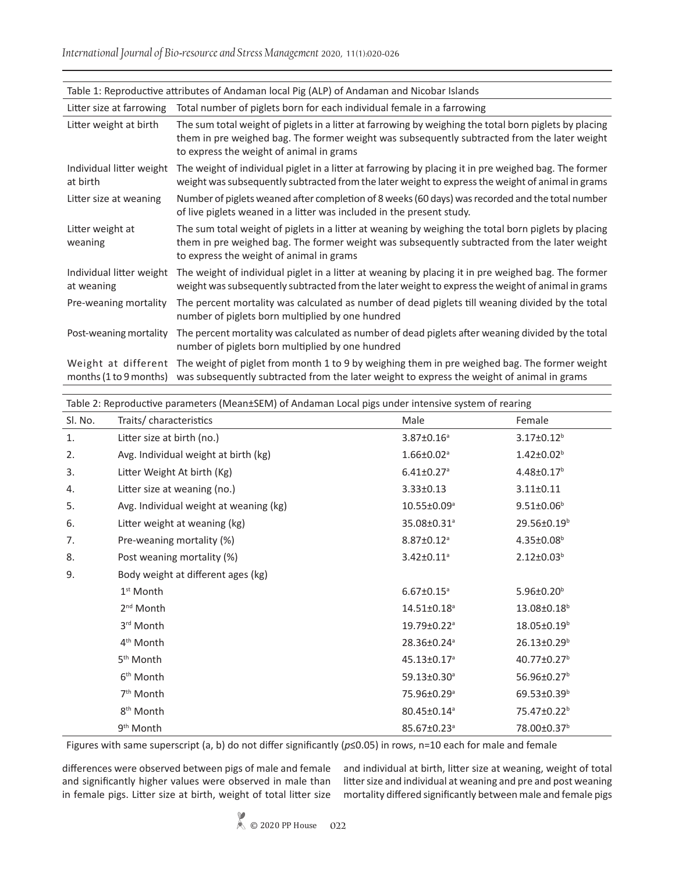*International Journal of Bio-resource and Stress Management* 2020, 11(1):020-026

| Table 1: Reproductive attributes of Andaman local Pig (ALP) of Andaman and Nicobar Islands |                                                                                                                                                                                                                                                    |  |  |  |
|--------------------------------------------------------------------------------------------|----------------------------------------------------------------------------------------------------------------------------------------------------------------------------------------------------------------------------------------------------|--|--|--|
| Litter size at farrowing                                                                   | Total number of piglets born for each individual female in a farrowing                                                                                                                                                                             |  |  |  |
| Litter weight at birth                                                                     | The sum total weight of piglets in a litter at farrowing by weighing the total born piglets by placing<br>them in pre weighed bag. The former weight was subsequently subtracted from the later weight<br>to express the weight of animal in grams |  |  |  |
| Individual litter weight<br>at birth                                                       | The weight of individual piglet in a litter at farrowing by placing it in pre weighed bag. The former<br>weight was subsequently subtracted from the later weight to express the weight of animal in grams                                         |  |  |  |
| Litter size at weaning                                                                     | Number of piglets weaned after completion of 8 weeks (60 days) was recorded and the total number<br>of live piglets weaned in a litter was included in the present study.                                                                          |  |  |  |
| Litter weight at<br>weaning                                                                | The sum total weight of piglets in a litter at weaning by weighing the total born piglets by placing<br>them in pre weighed bag. The former weight was subsequently subtracted from the later weight<br>to express the weight of animal in grams   |  |  |  |
| Individual litter weight<br>at weaning                                                     | The weight of individual piglet in a litter at weaning by placing it in pre weighed bag. The former<br>weight was subsequently subtracted from the later weight to express the weight of animal in grams                                           |  |  |  |
| Pre-weaning mortality                                                                      | The percent mortality was calculated as number of dead piglets till weaning divided by the total<br>number of piglets born multiplied by one hundred                                                                                               |  |  |  |
| Post-weaning mortality                                                                     | The percent mortality was calculated as number of dead piglets after weaning divided by the total<br>number of piglets born multiplied by one hundred                                                                                              |  |  |  |
| Weight at different<br>months $(1 to 9 months)$                                            | The weight of piglet from month 1 to 9 by weighing them in pre weighed bag. The former weight<br>was subsequently subtracted from the later weight to express the weight of animal in grams                                                        |  |  |  |

| Table 2: Reproductive parameters (Mean±SEM) of Andaman Local pigs under intensive system of rearing |                                        |                               |                         |  |  |
|-----------------------------------------------------------------------------------------------------|----------------------------------------|-------------------------------|-------------------------|--|--|
| SI. No.                                                                                             | Traits/characteristics                 | Male                          | Female                  |  |  |
| 1.                                                                                                  | Litter size at birth (no.)             | $3.87 \pm 0.16^a$             | $3.17 \pm 0.12^b$       |  |  |
| 2.                                                                                                  | Avg. Individual weight at birth (kg)   | $1.66 \pm 0.02$ <sup>a</sup>  | $1.42 \pm 0.02^b$       |  |  |
| 3.                                                                                                  | Litter Weight At birth (Kg)            | $6.41 \pm 0.27$ <sup>a</sup>  | $4.48 \pm 0.17^b$       |  |  |
| 4.                                                                                                  | Litter size at weaning (no.)           | $3.33 \pm 0.13$               | $3.11 \pm 0.11$         |  |  |
| 5.                                                                                                  | Avg. Individual weight at weaning (kg) | $10.55 \pm 0.09^{\circ}$      | $9.51 \pm 0.06^b$       |  |  |
| 6.                                                                                                  | Litter weight at weaning (kg)          | 35.08±0.31 <sup>a</sup>       | 29.56±0.19 <sup>b</sup> |  |  |
| 7.                                                                                                  | Pre-weaning mortality (%)              | $8.87 \pm 0.12$ <sup>a</sup>  | $4.35 \pm 0.08^b$       |  |  |
| 8.                                                                                                  | Post weaning mortality (%)             | $3.42 \pm 0.11$ <sup>a</sup>  | $2.12 \pm 0.03^b$       |  |  |
| 9.                                                                                                  | Body weight at different ages (kg)     |                               |                         |  |  |
|                                                                                                     | $1st$ Month                            | $6.67 \pm 0.15$ <sup>a</sup>  | $5.96 \pm 0.20^b$       |  |  |
|                                                                                                     | 2 <sup>nd</sup> Month                  | $14.51 \pm 0.18$ <sup>a</sup> | 13.08±0.18 <sup>b</sup> |  |  |
|                                                                                                     | 3 <sup>rd</sup> Month                  | 19.79±0.22 <sup>a</sup>       | $18.05 \pm 0.19^b$      |  |  |
|                                                                                                     | 4 <sup>th</sup> Month                  | 28.36±0.24 <sup>a</sup>       | $26.13 \pm 0.29^b$      |  |  |
|                                                                                                     | 5 <sup>th</sup> Month                  | 45.13±0.17 <sup>a</sup>       | 40.77±0.27 <sup>b</sup> |  |  |
|                                                                                                     | 6 <sup>th</sup> Month                  | 59.13±0.30 <sup>a</sup>       | 56.96±0.27 <sup>b</sup> |  |  |
|                                                                                                     | 7 <sup>th</sup> Month                  | 75.96±0.29ª                   | $69.53 \pm 0.39^b$      |  |  |
|                                                                                                     | 8 <sup>th</sup> Month                  | 80.45±0.14ª                   | 75.47±0.22 <sup>b</sup> |  |  |
|                                                                                                     | 9 <sup>th</sup> Month                  | 85.67±0.23 <sup>a</sup>       | 78.00±0.37 <sup>b</sup> |  |  |

Figures with same superscript (a, b) do not differ significantly (*p*≤0.05) in rows, n=10 each for male and female

differences were observed between pigs of male and female and significantly higher values were observed in male than in female pigs. Litter size at birth, weight of total litter size

and individual at birth, litter size at weaning, weight of total litter size and individual at weaning and pre and post weaning mortality differed significantly between male and female pigs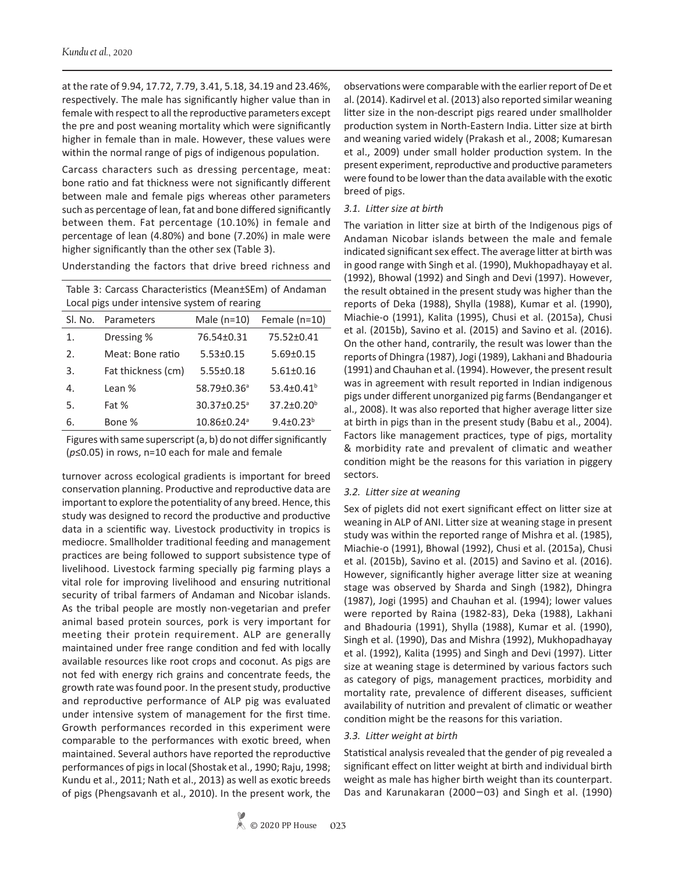at the rate of 9.94, 17.72, 7.79, 3.41, 5.18, 34.19 and 23.46%, respectively. The male has significantly higher value than in female with respect to all the reproductive parameters except the pre and post weaning mortality which were significantly higher in female than in male. However, these values were within the normal range of pigs of indigenous population.

Carcass characters such as dressing percentage, meat: bone ratio and fat thickness were not significantly different between male and female pigs whereas other parameters such as percentage of lean, fat and bone differed significantly between them. Fat percentage (10.10%) in female and percentage of lean (4.80%) and bone (7.20%) in male were higher significantly than the other sex (Table 3).

Understanding the factors that drive breed richness and

Table 3: Carcass Characteristics (Mean±SEm) of Andaman Local pigs under intensive system of rearing

| Sl. No. | Parameters         | Male $(n=10)$                 | Female $(n=10)$        |
|---------|--------------------|-------------------------------|------------------------|
| 1.      | Dressing %         | 76.54±0.31                    | 75.52±0.41             |
| 2.      | Meat: Bone ratio   | $5.53 \pm 0.15$               | $5.69 \pm 0.15$        |
| 3.      | Fat thickness (cm) | $5.55 \pm 0.18$               | $5.61 \pm 0.16$        |
| 4.      | Lean %             | 58.79±0.36 <sup>a</sup>       | 53.4±0.41 <sup>b</sup> |
| 5.      | Fat %              | 30.37±0.25 <sup>a</sup>       | 37.2±0.20 <sup>b</sup> |
| 6.      | Bone %             | $10.86 \pm 0.24$ <sup>a</sup> | $9.4 \pm 0.23^b$       |

Figures with same superscript (a, b) do not differ significantly (*p*≤0.05) in rows, n=10 each for male and female

turnover across ecological gradients is important for breed conservation planning. Productive and reproductive data are important to explore the potentiality of any breed. Hence, this study was designed to record the productive and productive data in a scientific way. Livestock productivity in tropics is mediocre. Smallholder traditional feeding and management practices are being followed to support subsistence type of livelihood. Livestock farming specially pig farming plays a vital role for improving livelihood and ensuring nutritional security of tribal farmers of Andaman and Nicobar islands. As the tribal people are mostly non-vegetarian and prefer animal based protein sources, pork is very important for meeting their protein requirement. ALP are generally maintained under free range condition and fed with locally available resources like root crops and coconut. As pigs are not fed with energy rich grains and concentrate feeds, the growth rate was found poor. In the present study, productive and reproductive performance of ALP pig was evaluated under intensive system of management for the first time. Growth performances recorded in this experiment were comparable to the performances with exotic breed, when maintained. Several authors have reported the reproductive performances of pigs in local (Shostak et al., 1990; Raju, 1998; Kundu et al., 2011; Nath et al., 2013) as well as exotic breeds of pigs (Phengsavanh et al., 2010). In the present work, the

observations were comparable with the earlier report of De et al. (2014). Kadirvel et al. (2013) also reported similar weaning litter size in the non-descript pigs reared under smallholder production system in North-Eastern India. Litter size at birth and weaning varied widely (Prakash et al., 2008; Kumaresan et al., 2009) under small holder production system. In the present experiment, reproductive and productive parameters were found to be lower than the data available with the exotic breed of pigs.

## *3.1. Litter size at birth*

The variation in litter size at birth of the Indigenous pigs of Andaman Nicobar islands between the male and female indicated significant sex effect. The average litter at birth was in good range with Singh et al. (1990), Mukhopadhayay et al. (1992), Bhowal (1992) and Singh and Devi (1997). However, the result obtained in the present study was higher than the reports of Deka (1988), Shylla (1988), Kumar et al. (1990), Miachie-o (1991), Kalita (1995), Chusi et al. (2015a), Chusi et al. (2015b), Savino et al. (2015) and Savino et al. (2016). On the other hand, contrarily, the result was lower than the reports of Dhingra (1987), Jogi (1989), Lakhani and Bhadouria (1991) and Chauhan et al. (1994). However, the present result was in agreement with result reported in Indian indigenous pigs under different unorganized pig farms (Bendanganger et al., 2008). It was also reported that higher average litter size at birth in pigs than in the present study (Babu et al., 2004). Factors like management practices, type of pigs, mortality & morbidity rate and prevalent of climatic and weather condition might be the reasons for this variation in piggery sectors.

## *3.2. Litter size at weaning*

Sex of piglets did not exert significant effect on litter size at weaning in ALP of ANI. Litter size at weaning stage in present study was within the reported range of Mishra et al. (1985), Miachie-o (1991), Bhowal (1992), Chusi et al. (2015a), Chusi et al. (2015b), Savino et al. (2015) and Savino et al. (2016). However, significantly higher average litter size at weaning stage was observed by Sharda and Singh (1982), Dhingra (1987), Jogi (1995) and Chauhan et al. (1994); lower values were reported by Raina (1982-83), Deka (1988), Lakhani and Bhadouria (1991), Shylla (1988), Kumar et al. (1990), Singh et al. (1990), Das and Mishra (1992), Mukhopadhayay et al. (1992), Kalita (1995) and Singh and Devi (1997). Litter size at weaning stage is determined by various factors such as category of pigs, management practices, morbidity and mortality rate, prevalence of different diseases, sufficient availability of nutrition and prevalent of climatic or weather condition might be the reasons for this variation.

## *3.3. Litter weight at birth*

Statistical analysis revealed that the gender of pig revealed a significant effect on litter weight at birth and individual birth weight as male has higher birth weight than its counterpart. Das and Karunakaran (2000−03) and Singh et al. (1990)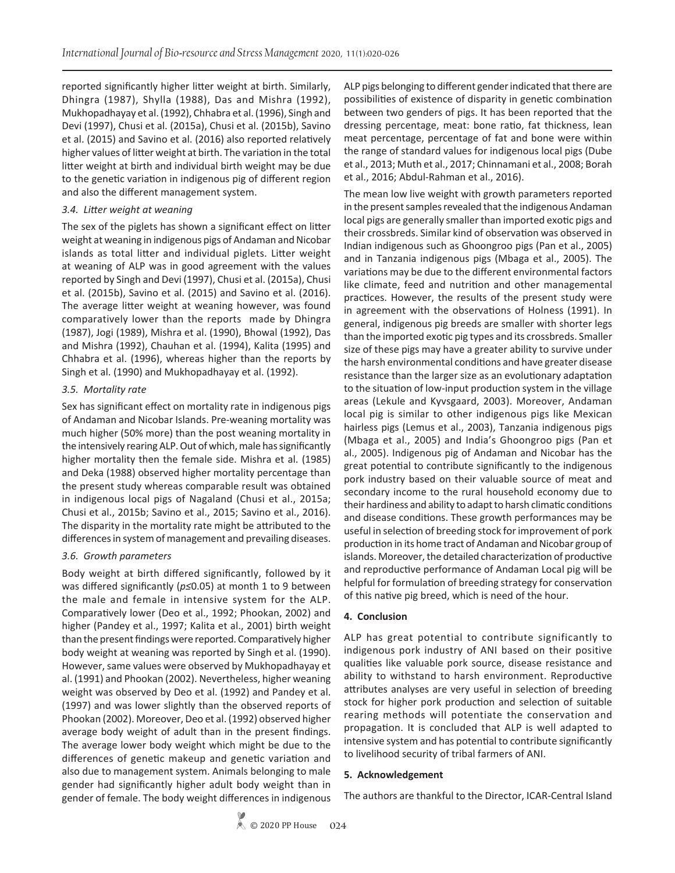reported significantly higher litter weight at birth. Similarly, Dhingra (1987), Shylla (1988), Das and Mishra (1992), Mukhopadhayay et al. (1992), Chhabra et al. (1996), Singh and Devi (1997), Chusi et al. (2015a), Chusi et al. (2015b), Savino et al. (2015) and Savino et al. (2016) also reported relatively higher values of litter weight at birth. The variation in the total litter weight at birth and individual birth weight may be due to the genetic variation in indigenous pig of different region and also the different management system.

## *3.4. Litter weight at weaning*

The sex of the piglets has shown a significant effect on litter weight at weaning in indigenous pigs of Andaman and Nicobar islands as total litter and individual piglets. Litter weight at weaning of ALP was in good agreement with the values reported by Singh and Devi (1997), Chusi et al. (2015a), Chusi et al. (2015b), Savino et al. (2015) and Savino et al. (2016). The average litter weight at weaning however, was found comparatively lower than the reports made by Dhingra (1987), Jogi (1989), Mishra et al. (1990), Bhowal (1992), Das and Mishra (1992), Chauhan et al. (1994), Kalita (1995) and Chhabra et al. (1996), whereas higher than the reports by Singh et al. (1990) and Mukhopadhayay et al. (1992).

## *3.5. Mortality rate*

Sex has significant effect on mortality rate in indigenous pigs of Andaman and Nicobar Islands. Pre-weaning mortality was much higher (50% more) than the post weaning mortality in the intensively rearing ALP. Out of which, male has significantly higher mortality then the female side. Mishra et al. (1985) and Deka (1988) observed higher mortality percentage than the present study whereas comparable result was obtained in indigenous local pigs of Nagaland (Chusi et al., 2015a; Chusi et al., 2015b; Savino et al., 2015; Savino et al., 2016). The disparity in the mortality rate might be attributed to the differences in system of management and prevailing diseases.

## *3.6. Growth parameters*

Body weight at birth differed significantly, followed by it was differed significantly (*p≤*0.05) at month 1 to 9 between the male and female in intensive system for the ALP. Comparatively lower (Deo et al., 1992; Phookan, 2002) and higher (Pandey et al., 1997; Kalita et al., 2001) birth weight than the present findings were reported. Comparatively higher body weight at weaning was reported by Singh et al. (1990). However, same values were observed by Mukhopadhayay et al. (1991) and Phookan (2002). Nevertheless, higher weaning weight was observed by Deo et al. (1992) and Pandey et al. (1997) and was lower slightly than the observed reports of Phookan (2002). Moreover, Deo et al. (1992) observed higher average body weight of adult than in the present findings. The average lower body weight which might be due to the differences of genetic makeup and genetic variation and also due to management system. Animals belonging to male gender had significantly higher adult body weight than in gender of female. The body weight differences in indigenous ALP pigs belonging to different gender indicated that there are possibilities of existence of disparity in genetic combination between two genders of pigs. It has been reported that the dressing percentage, meat: bone ratio, fat thickness, lean meat percentage, percentage of fat and bone were within the range of standard values for indigenous local pigs (Dube et al., 2013; Muth et al., 2017; Chinnamani et al., 2008; Borah et al., 2016; Abdul-Rahman et al., 2016).

The mean low live weight with growth parameters reported in the present samples revealed that the indigenous Andaman local pigs are generally smaller than imported exotic pigs and their crossbreds. Similar kind of observation was observed in Indian indigenous such as Ghoongroo pigs (Pan et al., 2005) and in Tanzania indigenous pigs (Mbaga et al., 2005). The variations may be due to the different environmental factors like climate, feed and nutrition and other managemental practices. However, the results of the present study were in agreement with the observations of Holness (1991). In general, indigenous pig breeds are smaller with shorter legs than the imported exotic pig types and its crossbreds. Smaller size of these pigs may have a greater ability to survive under the harsh environmental conditions and have greater disease resistance than the larger size as an evolutionary adaptation to the situation of low-input production system in the village areas (Lekule and Kyvsgaard, 2003). Moreover, Andaman local pig is similar to other indigenous pigs like Mexican hairless pigs (Lemus et al., 2003), Tanzania indigenous pigs (Mbaga et al., 2005) and India's Ghoongroo pigs (Pan et al., 2005). Indigenous pig of Andaman and Nicobar has the great potential to contribute significantly to the indigenous pork industry based on their valuable source of meat and secondary income to the rural household economy due to their hardiness and ability to adapt to harsh climatic conditions and disease conditions. These growth performances may be useful in selection of breeding stock for improvement of pork production in its home tract of Andaman and Nicobar group of islands. Moreover, the detailed characterization of productive and reproductive performance of Andaman Local pig will be helpful for formulation of breeding strategy for conservation of this native pig breed, which is need of the hour.

# **4. Conclusion**

ALP has great potential to contribute significantly to indigenous pork industry of ANI based on their positive qualities like valuable pork source, disease resistance and ability to withstand to harsh environment. Reproductive attributes analyses are very useful in selection of breeding stock for higher pork production and selection of suitable rearing methods will potentiate the conservation and propagation. It is concluded that ALP is well adapted to intensive system and has potential to contribute significantly to livelihood security of tribal farmers of ANI.

## **5. Acknowledgement**

The authors are thankful to the Director, ICAR-Central Island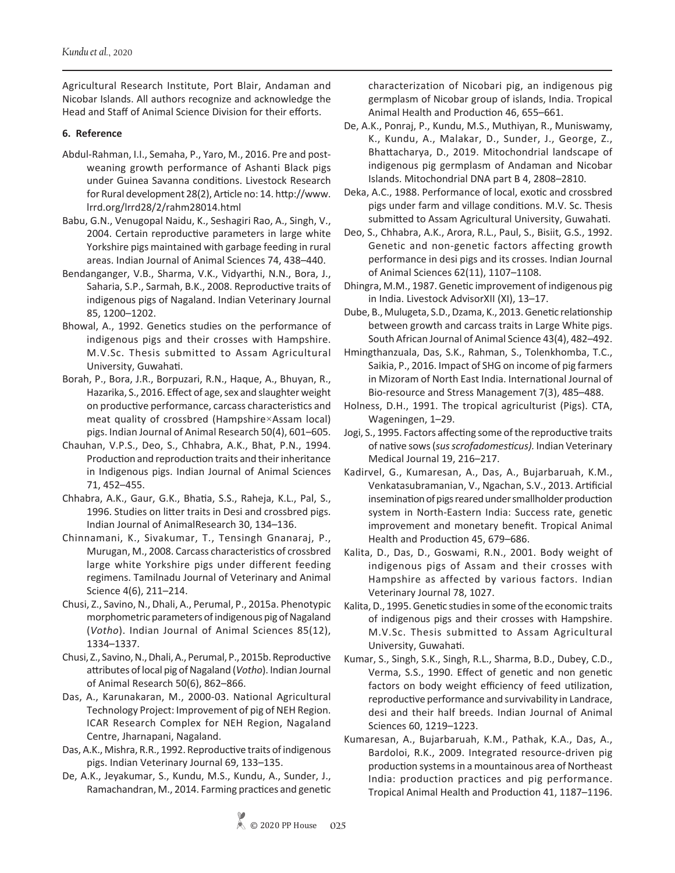Agricultural Research Institute, Port Blair, Andaman and Nicobar Islands. All authors recognize and acknowledge the Head and Staff of Animal Science Division for their efforts.

# **6. Reference**

- Abdul-Rahman, I.I., Semaha, P., Yaro, M., 2016. Pre and postweaning growth performance of Ashanti Black pigs under Guinea Savanna conditions. Livestock Research for Rural development 28(2), Article no: 14. http://www. lrrd.org/lrrd28/2/rahm28014.html
- Babu, G.N., Venugopal Naidu, K., Seshagiri Rao, A., Singh, V., 2004. Certain reproductive parameters in large white Yorkshire pigs maintained with garbage feeding in rural areas. Indian Journal of Animal Sciences 74, 438–440.
- Bendanganger, V.B., Sharma, V.K., Vidyarthi, N.N., Bora, J., Saharia, S.P., Sarmah, B.K., 2008. Reproductive traits of indigenous pigs of Nagaland. Indian Veterinary Journal 85, 1200–1202.
- Bhowal, A., 1992. Genetics studies on the performance of indigenous pigs and their crosses with Hampshire. M.V.Sc. Thesis submitted to Assam Agricultural University, Guwahati.
- Borah, P., Bora, J.R., Borpuzari, R.N., Haque, A., Bhuyan, R., Hazarika, S., 2016. Effect of age, sex and slaughter weight on productive performance, carcass characteristics and meat quality of crossbred (Hampshire×Assam local) pigs. Indian Journal of Animal Research 50(4), 601–605.
- Chauhan, V.P.S., Deo, S., Chhabra, A.K., Bhat, P.N., 1994. Production and reproduction traits and their inheritance in Indigenous pigs. Indian Journal of Animal Sciences 71, 452–455.
- Chhabra, A.K., Gaur, G.K., Bhatia, S.S., Raheja, K.L., Pal, S., 1996. Studies on litter traits in Desi and crossbred pigs. Indian Journal of AnimalResearch 30, 134–136.
- Chinnamani, K., Sivakumar, T., Tensingh Gnanaraj, P., Murugan, M., 2008. Carcass characteristics of crossbred large white Yorkshire pigs under different feeding regimens. Tamilnadu Journal of Veterinary and Animal Science 4(6), 211–214.
- Chusi, Z., Savino, N., Dhali, A., Perumal, P., 2015a. Phenotypic morphometric parameters of indigenous pig of Nagaland (*Votho*). Indian Journal of Animal Sciences 85(12), 1334–1337.
- Chusi, Z., Savino, N., Dhali, A., Perumal, P., 2015b. Reproductive attributes of local pig of Nagaland (*Votho*). Indian Journal of Animal Research 50(6), 862–866.
- Das, A., Karunakaran, M., 2000-03. National Agricultural Technology Project: Improvement of pig of NEH Region. ICAR Research Complex for NEH Region, Nagaland Centre, Jharnapani, Nagaland.
- Das, A.K., Mishra, R.R., 1992. Reproductive traits of indigenous pigs. Indian Veterinary Journal 69, 133–135.
- De, A.K., Jeyakumar, S., Kundu, M.S., Kundu, A., Sunder, J., Ramachandran, M., 2014. Farming practices and genetic

characterization of Nicobari pig, an indigenous pig germplasm of Nicobar group of islands, India. Tropical Animal Health and Production 46, 655–661.

- De, A.K., Ponraj, P., Kundu, M.S., Muthiyan, R., Muniswamy, K., Kundu, A., Malakar, D., Sunder, J., George, Z., Bhattacharya, D., 2019. Mitochondrial landscape of indigenous pig germplasm of Andaman and Nicobar Islands. Mitochondrial DNA part B 4, 2808–2810.
- Deka, A.C., 1988. Performance of local, exotic and crossbred pigs under farm and village conditions. M.V. Sc. Thesis submitted to Assam Agricultural University, Guwahati.
- Deo, S., Chhabra, A.K., Arora, R.L., Paul, S., Bisiit, G.S., 1992. Genetic and non-genetic factors affecting growth performance in desi pigs and its crosses. Indian Journal of Animal Sciences 62(11), 1107–1108.
- Dhingra, M.M., 1987. Genetic improvement of indigenous pig in India. Livestock AdvisorXII (XI), 13–17.
- Dube, B., Mulugeta, S.D., Dzama, K., 2013. Genetic relationship between growth and carcass traits in Large White pigs. South African Journal of Animal Science 43(4), 482–492.
- Hmingthanzuala, Das, S.K., Rahman, S., Tolenkhomba, T.C., Saikia, P., 2016. Impact of SHG on income of pig farmers in Mizoram of North East India. International Journal of Bio-resource and Stress Management 7(3), 485–488.
- Holness, D.H., 1991. The tropical agriculturist (Pigs). CTA, Wageningen, 1–29.
- Jogi, S., 1995. Factors affecting some of the reproductive traits of native sows (*sus scrofadomesticus).* Indian Veterinary Medical Journal 19, 216–217.
- Kadirvel, G., Kumaresan, A., Das, A., Bujarbaruah, K.M., Venkatasubramanian, V., Ngachan, S.V., 2013. Artificial insemination of pigs reared under smallholder production system in North-Eastern India: Success rate, genetic improvement and monetary benefit. Tropical Animal Health and Production 45, 679–686.
- Kalita, D., Das, D., Goswami, R.N., 2001. Body weight of indigenous pigs of Assam and their crosses with Hampshire as affected by various factors. Indian Veterinary Journal 78, 1027.
- Kalita, D., 1995. Genetic studies in some of the economic traits of indigenous pigs and their crosses with Hampshire. M.V.Sc. Thesis submitted to Assam Agricultural University, Guwahati.
- Kumar, S., Singh, S.K., Singh, R.L., Sharma, B.D., Dubey, C.D., Verma, S.S., 1990. Effect of genetic and non genetic factors on body weight efficiency of feed utilization, reproductive performance and survivability in Landrace, desi and their half breeds. Indian Journal of Animal Sciences 60, 1219–1223.
- Kumaresan, A., Bujarbaruah, K.M., Pathak, K.A., Das, A., Bardoloi, R.K., 2009. Integrated resource-driven pig production systems in a mountainous area of Northeast India: production practices and pig performance. Tropical Animal Health and Production 41, 1187–1196.